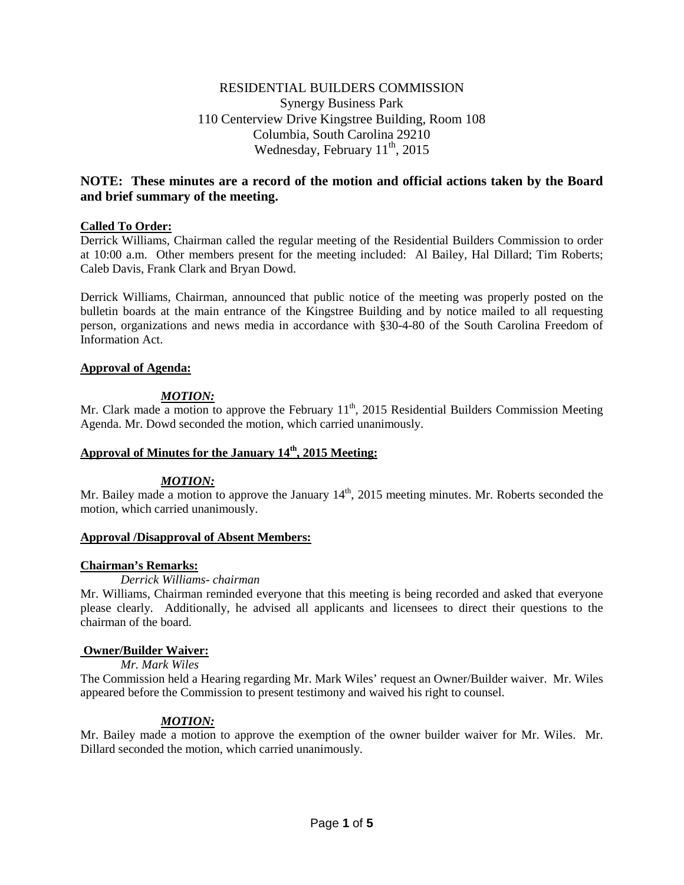# RESIDENTIAL BUILDERS COMMISSION Synergy Business Park 110 Centerview Drive Kingstree Building, Room 108 Columbia, South Carolina 29210 Wednesday, February  $11^{th}$ , 2015

# **NOTE: These minutes are a record of the motion and official actions taken by the Board and brief summary of the meeting.**

## **Called To Order:**

Derrick Williams, Chairman called the regular meeting of the Residential Builders Commission to order at 10:00 a.m. Other members present for the meeting included: Al Bailey, Hal Dillard; Tim Roberts; Caleb Davis, Frank Clark and Bryan Dowd.

Derrick Williams, Chairman, announced that public notice of the meeting was properly posted on the bulletin boards at the main entrance of the Kingstree Building and by notice mailed to all requesting person, organizations and news media in accordance with §30-4-80 of the South Carolina Freedom of Information Act.

### **Approval of Agenda:**

# *MOTION:*

Mr. Clark made a motion to approve the February  $11<sup>th</sup>$ , 2015 Residential Builders Commission Meeting Agenda. Mr. Dowd seconded the motion, which carried unanimously.

# **Approval of Minutes for the January 14th, 2015 Meeting:**

### *MOTION:*

Mr. Bailey made a motion to approve the January  $14<sup>th</sup>$ , 2015 meeting minutes. Mr. Roberts seconded the motion, which carried unanimously.

### **Approval /Disapproval of Absent Members:**

# **Chairman's Remarks:**

### *Derrick Williams- chairman*

Mr. Williams, Chairman reminded everyone that this meeting is being recorded and asked that everyone please clearly. Additionally, he advised all applicants and licensees to direct their questions to the chairman of the board.

# **Owner/Builder Waiver:**

### *Mr. Mark Wiles*

The Commission held a Hearing regarding Mr. Mark Wiles' request an Owner/Builder waiver. Mr. Wiles appeared before the Commission to present testimony and waived his right to counsel.

# *MOTION:*

Mr. Bailey made a motion to approve the exemption of the owner builder waiver for Mr. Wiles. Mr. Dillard seconded the motion, which carried unanimously.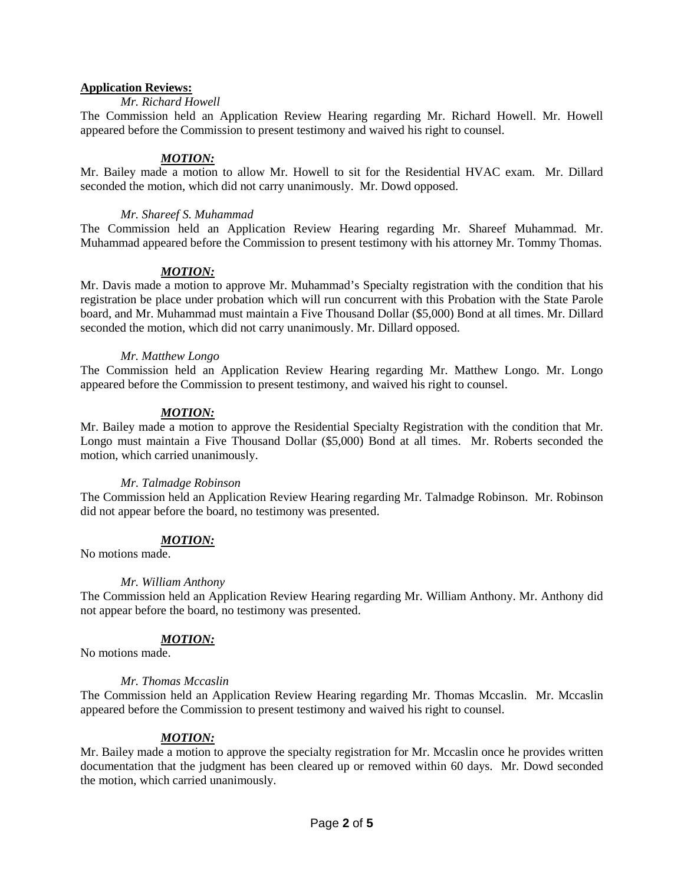#### **Application Reviews:**

#### *Mr. Richard Howell*

The Commission held an Application Review Hearing regarding Mr. Richard Howell. Mr. Howell appeared before the Commission to present testimony and waived his right to counsel.

#### *MOTION:*

Mr. Bailey made a motion to allow Mr. Howell to sit for the Residential HVAC exam. Mr. Dillard seconded the motion, which did not carry unanimously. Mr. Dowd opposed.

#### *Mr. Shareef S. Muhammad*

The Commission held an Application Review Hearing regarding Mr. Shareef Muhammad. Mr. Muhammad appeared before the Commission to present testimony with his attorney Mr. Tommy Thomas.

#### *MOTION:*

Mr. Davis made a motion to approve Mr. Muhammad's Specialty registration with the condition that his registration be place under probation which will run concurrent with this Probation with the State Parole board, and Mr. Muhammad must maintain a Five Thousand Dollar (\$5,000) Bond at all times. Mr. Dillard seconded the motion, which did not carry unanimously. Mr. Dillard opposed.

#### *Mr. Matthew Longo*

The Commission held an Application Review Hearing regarding Mr. Matthew Longo. Mr. Longo appeared before the Commission to present testimony, and waived his right to counsel.

### *MOTION:*

Mr. Bailey made a motion to approve the Residential Specialty Registration with the condition that Mr. Longo must maintain a Five Thousand Dollar (\$5,000) Bond at all times. Mr. Roberts seconded the motion, which carried unanimously.

#### *Mr. Talmadge Robinson*

The Commission held an Application Review Hearing regarding Mr. Talmadge Robinson. Mr. Robinson did not appear before the board, no testimony was presented.

### *MOTION:*

No motions made.

#### *Mr. William Anthony*

The Commission held an Application Review Hearing regarding Mr. William Anthony. Mr. Anthony did not appear before the board, no testimony was presented.

### *MOTION:*

No motions made.

#### *Mr. Thomas Mccaslin*

The Commission held an Application Review Hearing regarding Mr. Thomas Mccaslin. Mr. Mccaslin appeared before the Commission to present testimony and waived his right to counsel.

## *MOTION:*

Mr. Bailey made a motion to approve the specialty registration for Mr. Mccaslin once he provides written documentation that the judgment has been cleared up or removed within 60 days. Mr. Dowd seconded the motion, which carried unanimously.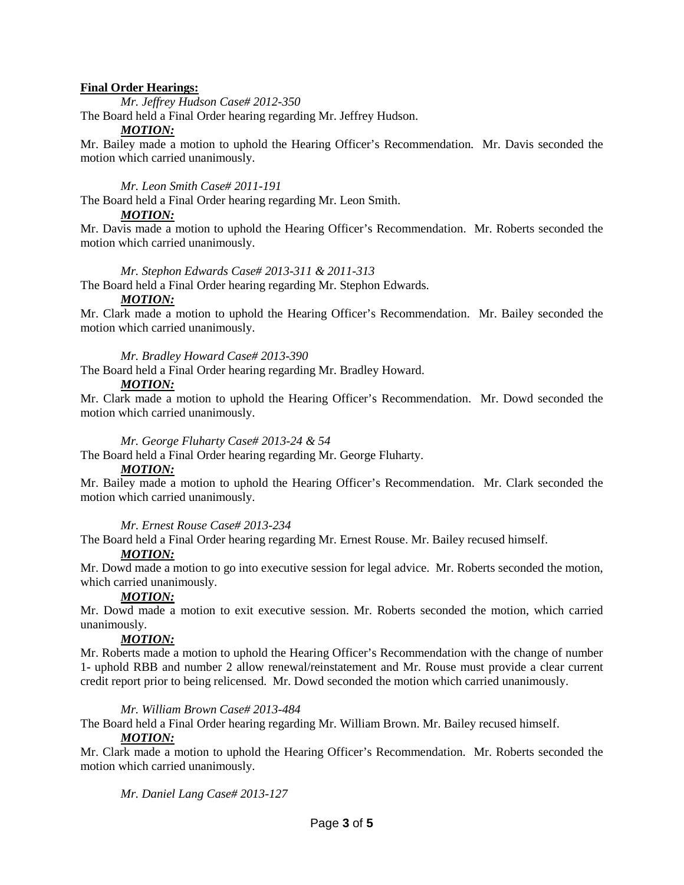### **Final Order Hearings:**

*Mr. Jeffrey Hudson Case# 2012-350*

The Board held a Final Order hearing regarding Mr. Jeffrey Hudson.

### *MOTION:*

Mr. Bailey made a motion to uphold the Hearing Officer's Recommendation. Mr. Davis seconded the motion which carried unanimously.

## *Mr. Leon Smith Case# 2011-191*

The Board held a Final Order hearing regarding Mr. Leon Smith.

## *MOTION:*

Mr. Davis made a motion to uphold the Hearing Officer's Recommendation. Mr. Roberts seconded the motion which carried unanimously.

## *Mr. Stephon Edwards Case# 2013-311 & 2011-313*

The Board held a Final Order hearing regarding Mr. Stephon Edwards.

## *MOTION:*

Mr. Clark made a motion to uphold the Hearing Officer's Recommendation. Mr. Bailey seconded the motion which carried unanimously.

*Mr. Bradley Howard Case# 2013-390*

The Board held a Final Order hearing regarding Mr. Bradley Howard.

## *MOTION:*

Mr. Clark made a motion to uphold the Hearing Officer's Recommendation. Mr. Dowd seconded the motion which carried unanimously.

## *Mr. George Fluharty Case# 2013-24 & 54*

The Board held a Final Order hearing regarding Mr. George Fluharty.

### *MOTION:*

Mr. Bailey made a motion to uphold the Hearing Officer's Recommendation. Mr. Clark seconded the motion which carried unanimously.

### *Mr. Ernest Rouse Case# 2013-234*

The Board held a Final Order hearing regarding Mr. Ernest Rouse. Mr. Bailey recused himself.

# *MOTION:*

Mr. Dowd made a motion to go into executive session for legal advice. Mr. Roberts seconded the motion, which carried unanimously.

# *MOTION:*

Mr. Dowd made a motion to exit executive session. Mr. Roberts seconded the motion, which carried unanimously.

### *MOTION:*

Mr. Roberts made a motion to uphold the Hearing Officer's Recommendation with the change of number 1- uphold RBB and number 2 allow renewal/reinstatement and Mr. Rouse must provide a clear current credit report prior to being relicensed. Mr. Dowd seconded the motion which carried unanimously.

### *Mr. William Brown Case# 2013-484*

The Board held a Final Order hearing regarding Mr. William Brown. Mr. Bailey recused himself.

# *MOTION:*

Mr. Clark made a motion to uphold the Hearing Officer's Recommendation. Mr. Roberts seconded the motion which carried unanimously.

*Mr. Daniel Lang Case# 2013-127*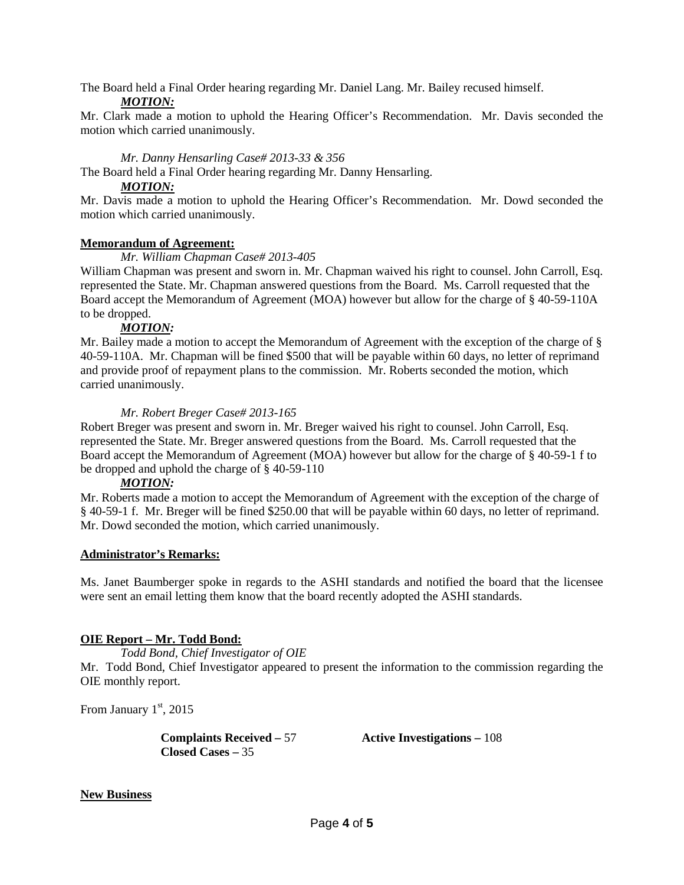The Board held a Final Order hearing regarding Mr. Daniel Lang. Mr. Bailey recused himself.

### *MOTION:*

Mr. Clark made a motion to uphold the Hearing Officer's Recommendation. Mr. Davis seconded the motion which carried unanimously.

### *Mr. Danny Hensarling Case# 2013-33 & 356*

The Board held a Final Order hearing regarding Mr. Danny Hensarling.

## *MOTION:*

Mr. Davis made a motion to uphold the Hearing Officer's Recommendation. Mr. Dowd seconded the motion which carried unanimously.

## **Memorandum of Agreement:**

## *Mr. William Chapman Case# 2013-405*

William Chapman was present and sworn in. Mr. Chapman waived his right to counsel. John Carroll, Esq. represented the State. Mr. Chapman answered questions from the Board. Ms. Carroll requested that the Board accept the Memorandum of Agreement (MOA) however but allow for the charge of § 40-59-110A to be dropped.

## *MOTION:*

Mr. Bailey made a motion to accept the Memorandum of Agreement with the exception of the charge of § 40-59-110A. Mr. Chapman will be fined \$500 that will be payable within 60 days, no letter of reprimand and provide proof of repayment plans to the commission. Mr. Roberts seconded the motion, which carried unanimously.

## *Mr. Robert Breger Case# 2013-165*

Robert Breger was present and sworn in. Mr. Breger waived his right to counsel. John Carroll, Esq. represented the State. Mr. Breger answered questions from the Board. Ms. Carroll requested that the Board accept the Memorandum of Agreement (MOA) however but allow for the charge of § 40-59-1 f to be dropped and uphold the charge of § 40-59-110

### *MOTION:*

Mr. Roberts made a motion to accept the Memorandum of Agreement with the exception of the charge of § 40-59-1 f. Mr. Breger will be fined \$250.00 that will be payable within 60 days, no letter of reprimand. Mr. Dowd seconded the motion, which carried unanimously.

### **Administrator's Remarks:**

Ms. Janet Baumberger spoke in regards to the ASHI standards and notified the board that the licensee were sent an email letting them know that the board recently adopted the ASHI standards.

# **OIE Report – Mr. Todd Bond:**

*Todd Bond, Chief Investigator of OIE*

Mr. Todd Bond, Chief Investigator appeared to present the information to the commission regarding the OIE monthly report.

From January 1st, 2015

**Complaints Received –** 57 **Active Investigations –** 108 **Closed Cases –** 35

### **New Business**